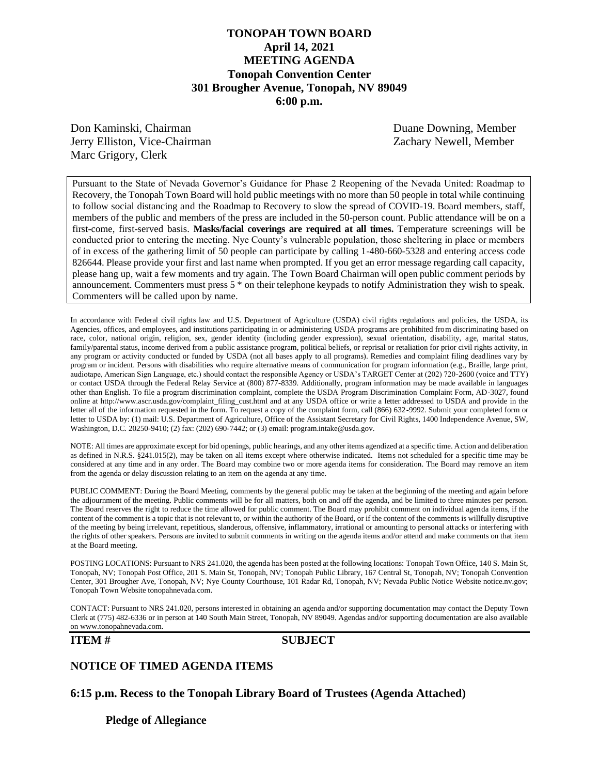## **TONOPAH TOWN BOARD April 14, 2021 MEETING AGENDA Tonopah Convention Center 301 Brougher Avenue, Tonopah, NV 89049 6:00 p.m.**

Don Kaminski, Chairman Duane Downing, Member Jerry Elliston, Vice-Chairman Zachary Newell, Member Marc Grigory, Clerk

Pursuant to the State of Nevada Governor's Guidance for Phase 2 Reopening of the Nevada United: Roadmap to Recovery, the Tonopah Town Board will hold public meetings with no more than 50 people in total while continuing to follow social distancing and the Roadmap to Recovery to slow the spread of COVID-19. Board members, staff, members of the public and members of the press are included in the 50-person count. Public attendance will be on a first-come, first-served basis. **Masks/facial coverings are required at all times.** Temperature screenings will be conducted prior to entering the meeting. Nye County's vulnerable population, those sheltering in place or members of in excess of the gathering limit of 50 people can participate by calling 1-480-660-5328 and entering access code 826644. Please provide your first and last name when prompted. If you get an error message regarding call capacity, please hang up, wait a few moments and try again. The Town Board Chairman will open public comment periods by announcement. Commenters must press 5 \* on their telephone keypads to notify Administration they wish to speak. Commenters will be called upon by name.

In accordance with Federal civil rights law and U.S. Department of Agriculture (USDA) civil rights regulations and policies, the USDA, its Agencies, offices, and employees, and institutions participating in or administering USDA programs are prohibited from discriminating based on race, color, national origin, religion, sex, gender identity (including gender expression), sexual orientation, disability, age, marital status, family/parental status, income derived from a public assistance program, political beliefs, or reprisal or retaliation for prior civil rights activity, in any program or activity conducted or funded by USDA (not all bases apply to all programs). Remedies and complaint filing deadlines vary by program or incident. Persons with disabilities who require alternative means of communication for program information (e.g., Braille, large print, audiotape, American Sign Language, etc.) should contact the responsible Agency or USDA's TARGET Center at (202) 720-2600 (voice and TTY) or contact USDA through the Federal Relay Service at (800) 877-8339. Additionally, program information may be made available in languages other than English. To file a program discrimination complaint, complete the USDA Program Discrimination Complaint Form, AD-3027, found online at http://www.ascr.usda.gov/complaint\_filing\_cust.html and at any USDA office or write a letter addressed to USDA and provide in the letter all of the information requested in the form. To request a copy of the complaint form, call (866) 632-9992. Submit your completed form or letter to USDA by: (1) mail: U.S. Department of Agriculture, Office of the Assistant Secretary for Civil Rights, 1400 Independence Avenue, SW, Washington, D.C. 20250-9410; (2) fax: (202) 690-7442; or (3) email: program.intake@usda.gov.

NOTE: All times are approximate except for bid openings, public hearings, and any other items agendized at a specific time. Action and deliberation as defined in N.R.S. §241.015(2), may be taken on all items except where otherwise indicated. Items not scheduled for a specific time may be considered at any time and in any order. The Board may combine two or more agenda items for consideration. The Board may remove an item from the agenda or delay discussion relating to an item on the agenda at any time.

PUBLIC COMMENT: During the Board Meeting, comments by the general public may be taken at the beginning of the meeting and again before the adjournment of the meeting. Public comments will be for all matters, both on and off the agenda, and be limited to three minutes per person. The Board reserves the right to reduce the time allowed for public comment. The Board may prohibit comment on individual agenda items, if the content of the comment is a topic that is not relevant to, or within the authority of the Board, or if the content of the comments is willfully disruptive of the meeting by being irrelevant, repetitious, slanderous, offensive, inflammatory, irrational or amounting to personal attacks or interfering with the rights of other speakers. Persons are invited to submit comments in writing on the agenda items and/or attend and make comments on that item at the Board meeting.

POSTING LOCATIONS: Pursuant to NRS 241.020, the agenda has been posted at the following locations: Tonopah Town Office, 140 S. Main St, Tonopah, NV; Tonopah Post Office, 201 S. Main St, Tonopah, NV; Tonopah Public Library, 167 Central St, Tonopah, NV; Tonopah Convention Center, 301 Brougher Ave, Tonopah, NV; Nye County Courthouse, 101 Radar Rd, Tonopah, NV; Nevada Public Notice Website notice.nv.gov; Tonopah Town Website tonopahnevada.com.

CONTACT: Pursuant to NRS 241.020, persons interested in obtaining an agenda and/or supporting documentation may contact the Deputy Town Clerk at (775) 482-6336 or in person at 140 South Main Street, Tonopah, NV 89049. Agendas and/or supporting documentation are also available on www.tonopahnevada.com.

#### **ITEM # SUBJECT**

#### **NOTICE OF TIMED AGENDA ITEMS**

**6:15 p.m. Recess to the Tonopah Library Board of Trustees (Agenda Attached)**

**Pledge of Allegiance**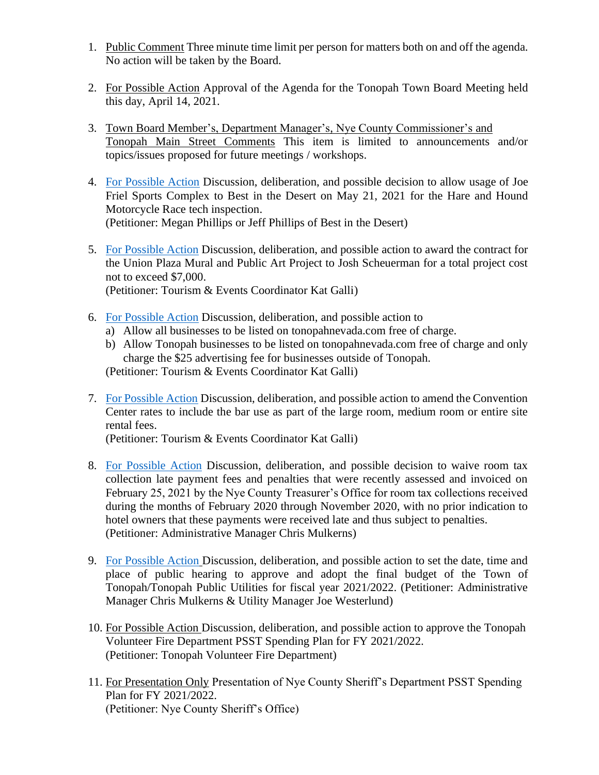- 1. Public Comment Three minute time limit per person for matters both on and off the agenda. No action will be taken by the Board.
- 2. For Possible Action Approval of the Agenda for the Tonopah Town Board Meeting held this day, April 14, 2021.
- 3. Town Board Member's, Department Manager's, Nye County Commissioner's and Tonopah Main Street Comments This item is limited to announcements and/or topics/issues proposed for future meetings / workshops.
- 4. [For Possible Action](https://www.tonopahnevada.com/agendas/backup-2021/4-14-2021-item-4.pdf) Discussion, deliberation, and possible decision to allow usage of Joe Friel Sports Complex to Best in the Desert on May 21, 2021 for the Hare and Hound Motorcycle Race tech inspection. (Petitioner: Megan Phillips or Jeff Phillips of Best in the Desert)
- 5. [For Possible Action](https://www.tonopahnevada.com/agendas/backup-2021/4-14-2021-item-5.pdf) Discussion, deliberation, and possible action to award the contract for the Union Plaza Mural and Public Art Project to Josh Scheuerman for a total project cost not to exceed \$7,000. (Petitioner: Tourism & Events Coordinator Kat Galli)
- 
- 6. [For Possible Action](https://www.tonopahnevada.com/agendas/backup-2021/4-14-2021-item-6.pdf) Discussion, deliberation, and possible action to
	- a) Allow all businesses to be listed on tonopahnevada.com free of charge.
	- b) Allow Tonopah businesses to be listed on tonopahnevada.com free of charge and only charge the \$25 advertising fee for businesses outside of Tonopah.

(Petitioner: Tourism & Events Coordinator Kat Galli)

7. [For Possible Action](https://www.tonopahnevada.com/agendas/backup-2021/4-14-2021-item-7.pdf) Discussion, deliberation, and possible action to amend the Convention Center rates to include the bar use as part of the large room, medium room or entire site rental fees.

(Petitioner: Tourism & Events Coordinator Kat Galli)

- 8. [For Possible Action](https://www.tonopahnevada.com/agendas/backup-2021/4-14-2021-item-8.pdf) Discussion, deliberation, and possible decision to waive room tax collection late payment fees and penalties that were recently assessed and invoiced on February 25, 2021 by the Nye County Treasurer's Office for room tax collections received during the months of February 2020 through November 2020, with no prior indication to hotel owners that these payments were received late and thus subject to penalties. (Petitioner: Administrative Manager Chris Mulkerns)
- 9. [For Possible Action](https://www.tonopahnevada.com/agendas/backup-2021/4-14-2021-item-9.pdf) Discussion, deliberation, and possible action to set the date, time and place of public hearing to approve and adopt the final budget of the Town of Tonopah/Tonopah Public Utilities for fiscal year 2021/2022. (Petitioner: Administrative Manager Chris Mulkerns & Utility Manager Joe Westerlund)
- 10. For Possible Action Discussion, deliberation, and possible action to approve the Tonopah Volunteer Fire Department PSST Spending Plan for FY 2021/2022. (Petitioner: Tonopah Volunteer Fire Department)
- 11. For Presentation Only Presentation of Nye County Sheriff's Department PSST Spending Plan for FY 2021/2022. (Petitioner: Nye County Sheriff's Office)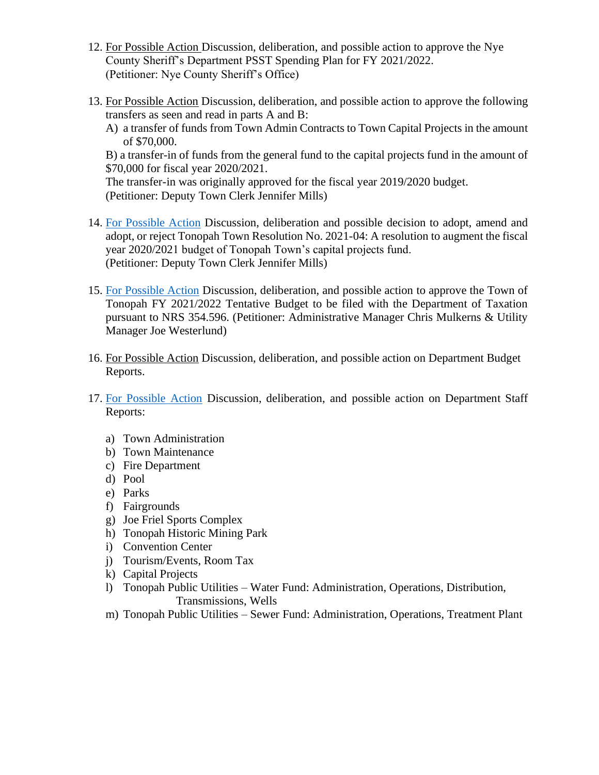- 12. For Possible Action Discussion, deliberation, and possible action to approve the Nye County Sheriff's Department PSST Spending Plan for FY 2021/2022. (Petitioner: Nye County Sheriff's Office)
- 13. For Possible Action Discussion, deliberation, and possible action to approve the following transfers as seen and read in parts A and B:
	- A) a transfer of funds from Town Admin Contracts to Town Capital Projects in the amount of \$70,000.

B) a transfer-in of funds from the general fund to the capital projects fund in the amount of \$70,000 for fiscal year 2020/2021.

The transfer-in was originally approved for the fiscal year 2019/2020 budget. (Petitioner: Deputy Town Clerk Jennifer Mills)

- 14. [For Possible Action](https://www.tonopahnevada.com/agendas/backup-2021/4-14-2021-item-14-resolution.pdf) Discussion, deliberation and possible decision to adopt, amend and adopt, or reject Tonopah Town Resolution No. 2021-04: A resolution to augment the fiscal year 2020/2021 budget of Tonopah Town's capital projects fund. (Petitioner: Deputy Town Clerk Jennifer Mills)
- 15. [For Possible Action](http://www.tonopahnevada.com/agendas/backup-2021/4-14-2021-item-15.pdf) Discussion, deliberation, and possible action to approve the Town of Tonopah FY 2021/2022 Tentative Budget to be filed with the Department of Taxation pursuant to NRS 354.596. (Petitioner: Administrative Manager Chris Mulkerns & Utility Manager Joe Westerlund)
- 16. For Possible Action Discussion, deliberation, and possible action on Department Budget Reports.
- 17. [For Possible Action](https://www.tonopahnevada.com/agendas/backup-2021/StaffReports-4-14-21.pdf) Discussion, deliberation, and possible action on Department Staff Reports:
	- a) Town Administration
	- b) Town Maintenance
	- c) Fire Department
	- d) Pool
	- e) Parks
	- f) Fairgrounds
	- g) Joe Friel Sports Complex
	- h) Tonopah Historic Mining Park
	- i) Convention Center
	- j) Tourism/Events, Room Tax
	- k) Capital Projects
	- l) Tonopah Public Utilities Water Fund: Administration, Operations, Distribution, Transmissions, Wells
	- m) Tonopah Public Utilities Sewer Fund: Administration, Operations, Treatment Plant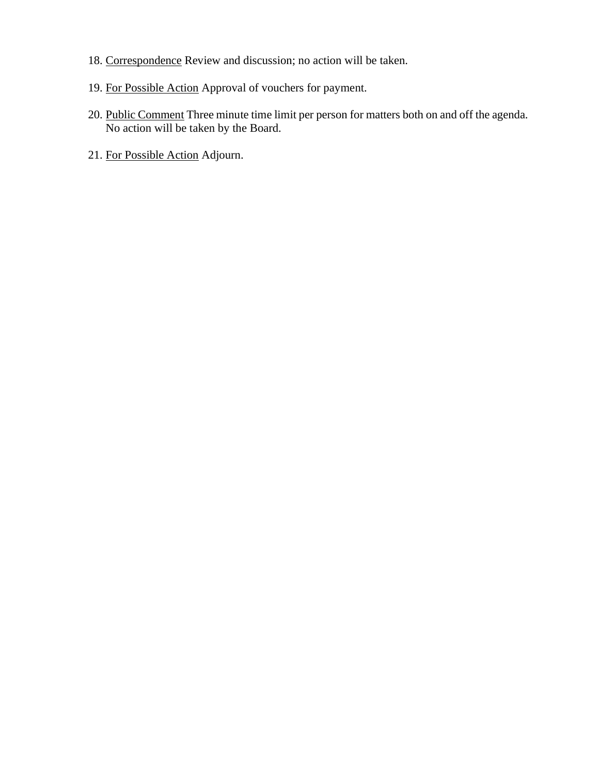- 18. Correspondence Review and discussion; no action will be taken.
- 19. For Possible Action Approval of vouchers for payment.
- 20. Public Comment Three minute time limit per person for matters both on and off the agenda. No action will be taken by the Board.
- 21. For Possible Action Adjourn.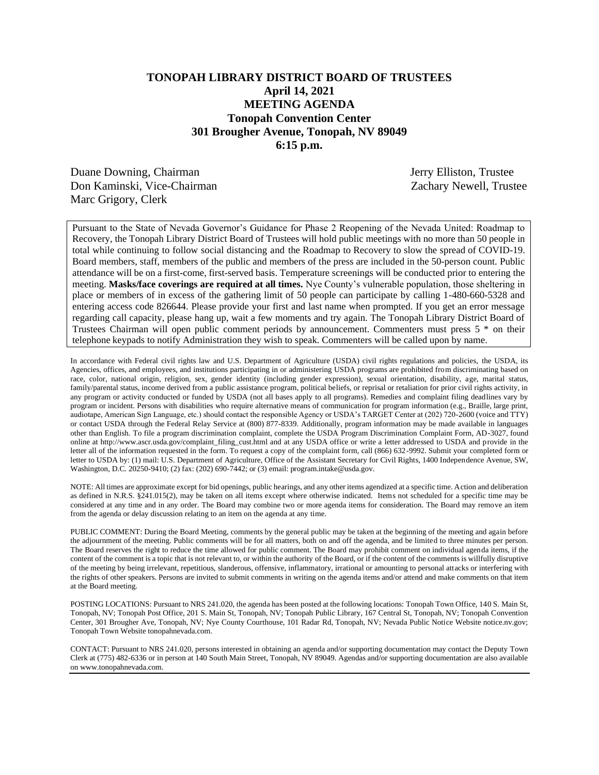## **TONOPAH LIBRARY DISTRICT BOARD OF TRUSTEES April 14, 2021 MEETING AGENDA Tonopah Convention Center 301 Brougher Avenue, Tonopah, NV 89049 6:15 p.m.**

Duane Downing, Chairman Jerry Elliston, Trustee Don Kaminski, Vice-Chairman Zachary Newell, Trustee Marc Grigory, Clerk

Pursuant to the State of Nevada Governor's Guidance for Phase 2 Reopening of the Nevada United: Roadmap to Recovery, the Tonopah Library District Board of Trustees will hold public meetings with no more than 50 people in total while continuing to follow social distancing and the Roadmap to Recovery to slow the spread of COVID-19. Board members, staff, members of the public and members of the press are included in the 50-person count. Public attendance will be on a first-come, first-served basis. Temperature screenings will be conducted prior to entering the meeting. **Masks/face coverings are required at all times.** Nye County's vulnerable population, those sheltering in place or members of in excess of the gathering limit of 50 people can participate by calling 1-480-660-5328 and entering access code 826644. Please provide your first and last name when prompted. If you get an error message regarding call capacity, please hang up, wait a few moments and try again. The Tonopah Library District Board of Trustees Chairman will open public comment periods by announcement. Commenters must press 5 \* on their telephone keypads to notify Administration they wish to speak. Commenters will be called upon by name.

In accordance with Federal civil rights law and U.S. Department of Agriculture (USDA) civil rights regulations and policies, the USDA, its Agencies, offices, and employees, and institutions participating in or administering USDA programs are prohibited from discriminating based on race, color, national origin, religion, sex, gender identity (including gender expression), sexual orientation, disability, age, marital status, family/parental status, income derived from a public assistance program, political beliefs, or reprisal or retaliation for prior civil rights activity, in any program or activity conducted or funded by USDA (not all bases apply to all programs). Remedies and complaint filing deadlines vary by program or incident. Persons with disabilities who require alternative means of communication for program information (e.g., Braille, large print, audiotape, American Sign Language, etc.) should contact the responsible Agency or USDA's TARGET Center at (202) 720-2600 (voice and TTY) or contact USDA through the Federal Relay Service at (800) 877-8339. Additionally, program information may be made available in languages other than English. To file a program discrimination complaint, complete the USDA Program Discrimination Complaint Form, AD-3027, found online at http://www.ascr.usda.gov/complaint\_filing\_cust.html and at any USDA office or write a letter addressed to USDA and provide in the letter all of the information requested in the form. To request a copy of the complaint form, call (866) 632-9992. Submit your completed form or letter to USDA by: (1) mail: U.S. Department of Agriculture, Office of the Assistant Secretary for Civil Rights, 1400 Independence Avenue, SW, Washington, D.C. 20250-9410; (2) fax: (202) 690-7442; or (3) email: program.intake@usda.gov.

NOTE: All times are approximate except for bid openings, public hearings, and any other items agendized at a specific time. Action and deliberation as defined in N.R.S. §241.015(2), may be taken on all items except where otherwise indicated. Items not scheduled for a specific time may be considered at any time and in any order. The Board may combine two or more agenda items for consideration. The Board may remove an item from the agenda or delay discussion relating to an item on the agenda at any time.

PUBLIC COMMENT: During the Board Meeting, comments by the general public may be taken at the beginning of the meeting and again before the adjournment of the meeting. Public comments will be for all matters, both on and off the agenda, and be limited to three minutes per person. The Board reserves the right to reduce the time allowed for public comment. The Board may prohibit comment on individual agenda items, if the content of the comment is a topic that is not relevant to, or within the authority of the Board, or if the content of the comments is willfully disruptive of the meeting by being irrelevant, repetitious, slanderous, offensive, inflammatory, irrational or amounting to personal attacks or interfering with the rights of other speakers. Persons are invited to submit comments in writing on the agenda items and/or attend and make comments on that item at the Board meeting.

POSTING LOCATIONS: Pursuant to NRS 241.020, the agenda has been posted at the following locations: Tonopah Town Office, 140 S. Main St, Tonopah, NV; Tonopah Post Office, 201 S. Main St, Tonopah, NV; Tonopah Public Library, 167 Central St, Tonopah, NV; Tonopah Convention Center, 301 Brougher Ave, Tonopah, NV; Nye County Courthouse, 101 Radar Rd, Tonopah, NV; Nevada Public Notice Website notice.nv.gov; Tonopah Town Website tonopahnevada.com.

CONTACT: Pursuant to NRS 241.020, persons interested in obtaining an agenda and/or supporting documentation may contact the Deputy Town Clerk at (775) 482-6336 or in person at 140 South Main Street, Tonopah, NV 89049. Agendas and/or supporting documentation are also available on www.tonopahnevada.com.